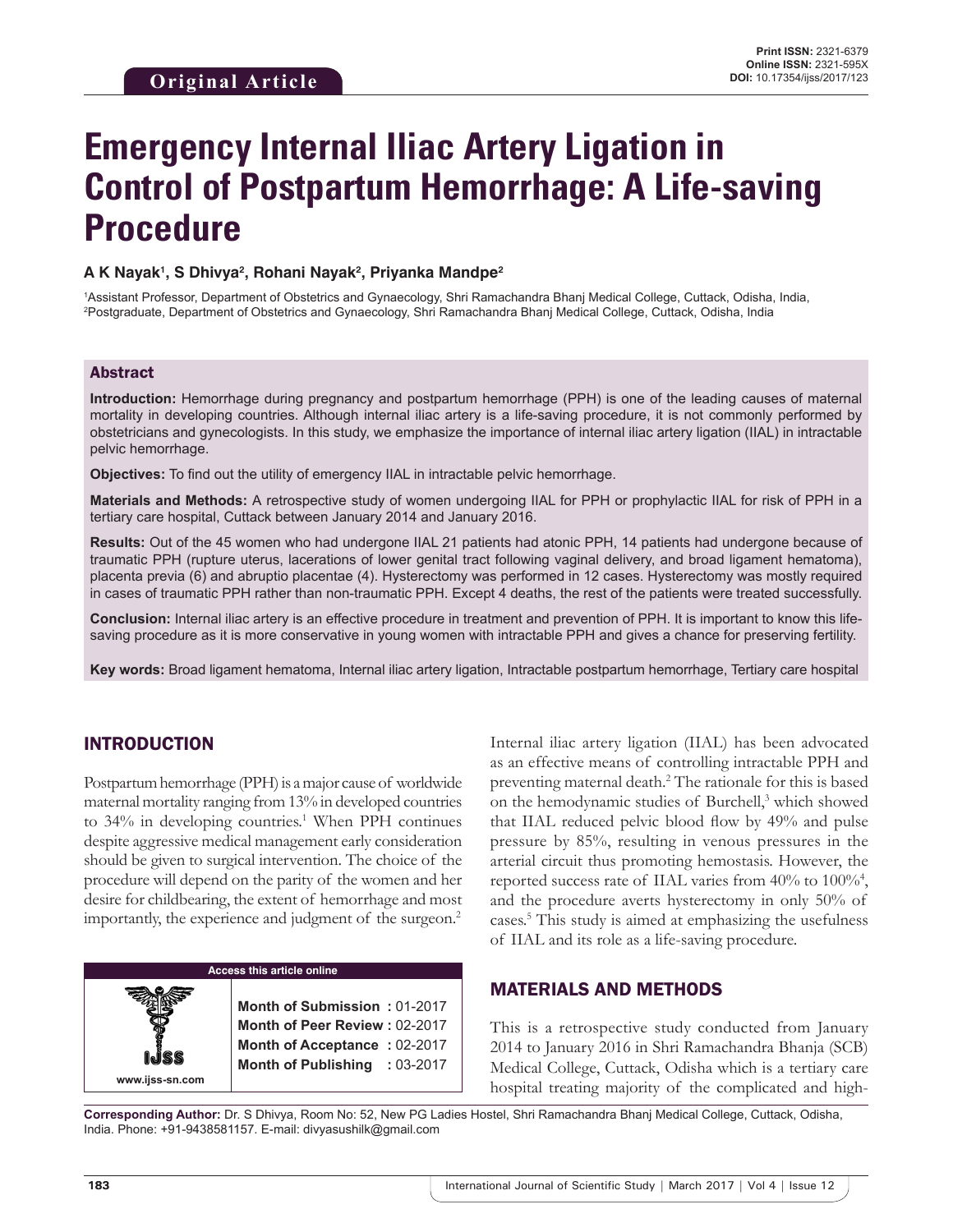# **Emergency Internal Iliac Artery Ligation in Control of Postpartum Hemorrhage: A Life-saving Procedure**

#### **A K Nayak1 , S Dhivya2 , Rohani Nayak2 , Priyanka Mandpe2**

1 Assistant Professor, Department of Obstetrics and Gynaecology, Shri Ramachandra Bhanj Medical College, Cuttack, Odisha, India, 2 Postgraduate, Department of Obstetrics and Gynaecology, Shri Ramachandra Bhanj Medical College, Cuttack, Odisha, India

#### Abstract

**Introduction:** Hemorrhage during pregnancy and postpartum hemorrhage (PPH) is one of the leading causes of maternal mortality in developing countries. Although internal iliac artery is a life-saving procedure, it is not commonly performed by obstetricians and gynecologists. In this study, we emphasize the importance of internal iliac artery ligation (IIAL) in intractable pelvic hemorrhage.

**Objectives:** To find out the utility of emergency IIAL in intractable pelvic hemorrhage.

**Materials and Methods:** A retrospective study of women undergoing IIAL for PPH or prophylactic IIAL for risk of PPH in a tertiary care hospital, Cuttack between January 2014 and January 2016.

**Results:** Out of the 45 women who had undergone IIAL 21 patients had atonic PPH, 14 patients had undergone because of traumatic PPH (rupture uterus, lacerations of lower genital tract following vaginal delivery, and broad ligament hematoma), placenta previa (6) and abruptio placentae (4). Hysterectomy was performed in 12 cases. Hysterectomy was mostly required in cases of traumatic PPH rather than non-traumatic PPH. Except 4 deaths, the rest of the patients were treated successfully.

**Conclusion:** Internal iliac artery is an effective procedure in treatment and prevention of PPH. It is important to know this lifesaving procedure as it is more conservative in young women with intractable PPH and gives a chance for preserving fertility.

**Key words:** Broad ligament hematoma, Internal iliac artery ligation, Intractable postpartum hemorrhage, Tertiary care hospital

## INTRODUCTION

Postpartum hemorrhage (PPH) is a major cause of worldwide maternal mortality ranging from 13% in developed countries to 34% in developing countries.<sup>1</sup> When PPH continues despite aggressive medical management early consideration should be given to surgical intervention. The choice of the procedure will depend on the parity of the women and her desire for childbearing, the extent of hemorrhage and most importantly, the experience and judgment of the surgeon.<sup>2</sup>

**Access this article online www.ijss-sn.com Month of Submission :** 01-2017 **Month of Peer Review :** 02-2017 **Month of Acceptance :** 02-2017 **Month of Publishing :** 03-2017 Internal iliac artery ligation (IIAL) has been advocated as an effective means of controlling intractable PPH and preventing maternal death.<sup>2</sup> The rationale for this is based on the hemodynamic studies of Burchell,<sup>3</sup> which showed that IIAL reduced pelvic blood flow by 49% and pulse pressure by 85%, resulting in venous pressures in the arterial circuit thus promoting hemostasis. However, the reported success rate of IIAL varies from 40% to 100%<sup>4</sup>, and the procedure averts hysterectomy in only 50% of cases.5 This study is aimed at emphasizing the usefulness of IIAL and its role as a life-saving procedure.

#### MATERIALS AND METHODS

This is a retrospective study conducted from January 2014 to January 2016 in Shri Ramachandra Bhanja (SCB) Medical College, Cuttack, Odisha which is a tertiary care hospital treating majority of the complicated and high-

**Corresponding Author:** Dr. S Dhivya, Room No: 52, New PG Ladies Hostel, Shri Ramachandra Bhanj Medical College, Cuttack, Odisha, India. Phone: +91-9438581157. E-mail: divyasushilk@gmail.com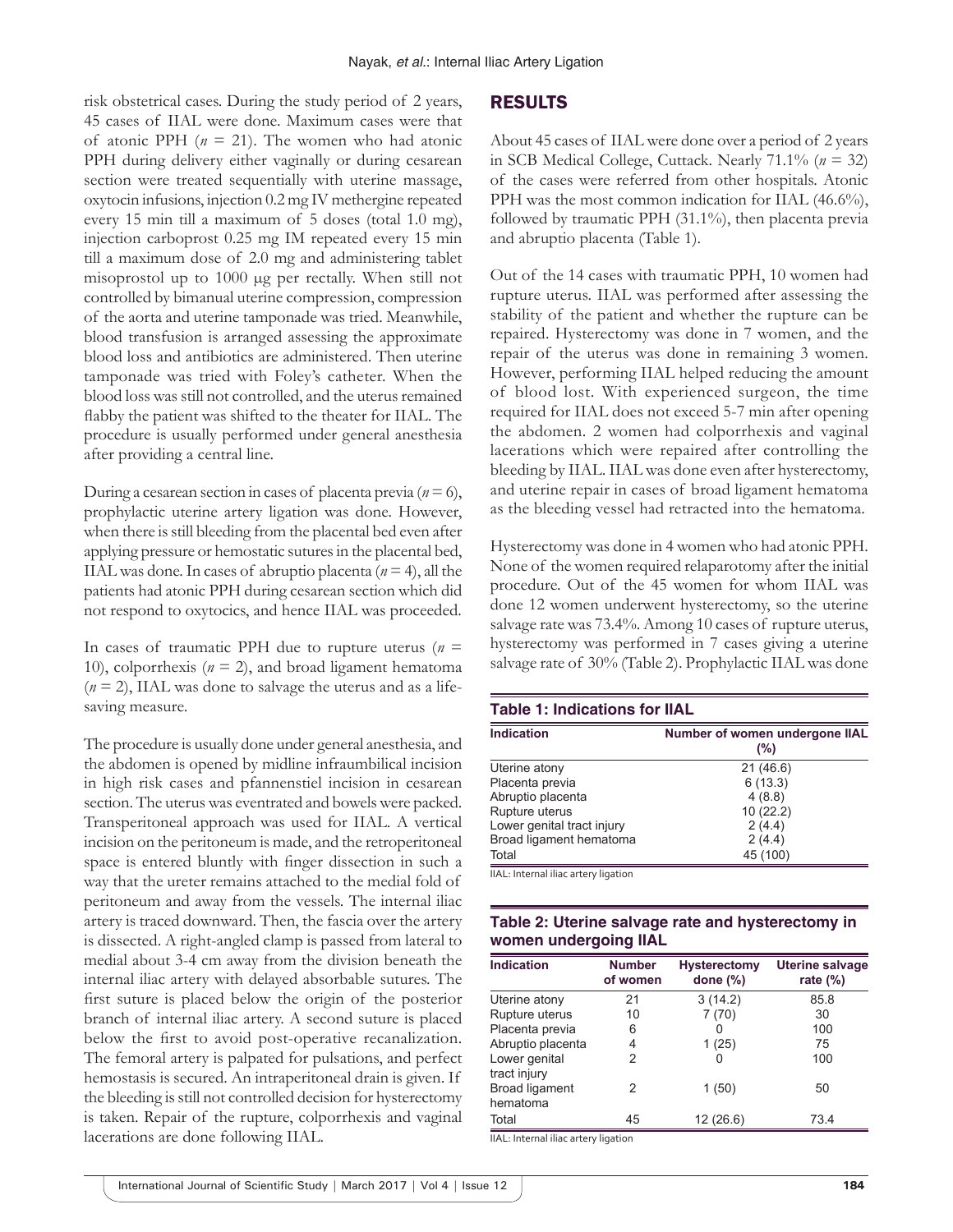risk obstetrical cases. During the study period of 2 years, 45 cases of IIAL were done. Maximum cases were that of atonic PPH  $(n = 21)$ . The women who had atonic PPH during delivery either vaginally or during cesarean section were treated sequentially with uterine massage, oxytocin infusions, injection 0.2 mg IV methergine repeated every 15 min till a maximum of 5 doses (total 1.0 mg), injection carboprost 0.25 mg IM repeated every 15 min till a maximum dose of 2.0 mg and administering tablet misoprostol up to 1000 µg per rectally. When still not controlled by bimanual uterine compression, compression of the aorta and uterine tamponade was tried. Meanwhile, blood transfusion is arranged assessing the approximate blood loss and antibiotics are administered. Then uterine tamponade was tried with Foley's catheter. When the blood loss was still not controlled, and the uterus remained flabby the patient was shifted to the theater for IIAL. The procedure is usually performed under general anesthesia after providing a central line.

During a cesarean section in cases of placenta previa  $(n=6)$ , prophylactic uterine artery ligation was done. However, when there is still bleeding from the placental bed even after applying pressure or hemostatic sutures in the placental bed, IIAL was done. In cases of abruptio placenta  $(n = 4)$ , all the patients had atonic PPH during cesarean section which did not respond to oxytocics, and hence IIAL was proceeded.

In cases of traumatic PPH due to rupture uterus  $(n =$ 10), colporrhexis  $(n = 2)$ , and broad ligament hematoma  $(n = 2)$ , IIAL was done to salvage the uterus and as a lifesaving measure.

The procedure is usually done under general anesthesia, and the abdomen is opened by midline infraumbilical incision in high risk cases and pfannenstiel incision in cesarean section. The uterus was eventrated and bowels were packed. Transperitoneal approach was used for IIAL. A vertical incision on the peritoneum is made, and the retroperitoneal space is entered bluntly with finger dissection in such a way that the ureter remains attached to the medial fold of peritoneum and away from the vessels. The internal iliac artery is traced downward. Then, the fascia over the artery is dissected. A right-angled clamp is passed from lateral to medial about 3-4 cm away from the division beneath the internal iliac artery with delayed absorbable sutures. The first suture is placed below the origin of the posterior branch of internal iliac artery. A second suture is placed below the first to avoid post-operative recanalization. The femoral artery is palpated for pulsations, and perfect hemostasis is secured. An intraperitoneal drain is given. If the bleeding is still not controlled decision for hysterectomy is taken. Repair of the rupture, colporrhexis and vaginal lacerations are done following IIAL.

#### RESULTS

About 45 cases of IIAL were done over a period of 2 years in SCB Medical College, Cuttack. Nearly 71.1% (*n* = 32) of the cases were referred from other hospitals. Atonic PPH was the most common indication for IIAL (46.6%), followed by traumatic PPH (31.1%), then placenta previa and abruptio placenta (Table 1).

Out of the 14 cases with traumatic PPH, 10 women had rupture uterus. IIAL was performed after assessing the stability of the patient and whether the rupture can be repaired. Hysterectomy was done in 7 women, and the repair of the uterus was done in remaining 3 women. However, performing IIAL helped reducing the amount of blood lost. With experienced surgeon, the time required for IIAL does not exceed 5-7 min after opening the abdomen. 2 women had colporrhexis and vaginal lacerations which were repaired after controlling the bleeding by IIAL. IIAL was done even after hysterectomy, and uterine repair in cases of broad ligament hematoma as the bleeding vessel had retracted into the hematoma.

Hysterectomy was done in 4 women who had atonic PPH. None of the women required relaparotomy after the initial procedure. Out of the 45 women for whom IIAL was done 12 women underwent hysterectomy, so the uterine salvage rate was 73.4%. Among 10 cases of rupture uterus, hysterectomy was performed in 7 cases giving a uterine salvage rate of 30% (Table 2). Prophylactic IIAL was done

| <b>Table 1: Indications for IIAL</b> |                                       |  |  |  |
|--------------------------------------|---------------------------------------|--|--|--|
| <b>Indication</b>                    | Number of women undergone IIAL<br>(%) |  |  |  |
| Uterine atony                        | 21(46.6)                              |  |  |  |
| Placenta previa                      | 6(13.3)                               |  |  |  |
| Abruptio placenta                    | 4(8.8)                                |  |  |  |
| Rupture uterus                       | 10(22.2)                              |  |  |  |
| Lower genital tract injury           | 2(4.4)                                |  |  |  |
| Broad ligament hematoma              | 2(4.4)                                |  |  |  |
| Total                                | 45 (100)                              |  |  |  |

IIAL: Internal iliac artery ligation

| Table 2: Uterine salvage rate and hysterectomy in |  |
|---------------------------------------------------|--|
| women undergoing IIAL                             |  |

| <b>Indication</b>             | <b>Number</b><br>of women | <b>Hysterectomy</b><br>done $(\%)$ | <b>Uterine salvage</b><br>rate $(\%)$ |
|-------------------------------|---------------------------|------------------------------------|---------------------------------------|
| Uterine atony                 | 21                        | 3(14.2)                            | 85.8                                  |
| Rupture uterus                | 10                        | 7(70)                              | 30                                    |
| Placenta previa               | 6                         | $\mathbf{I}$                       | 100                                   |
| Abruptio placenta             | 4                         | 1(25)                              | 75                                    |
| Lower genital<br>tract injury | 2                         |                                    | 100                                   |
| Broad ligament<br>hematoma    | 2                         | 1(50)                              | 50                                    |
| Total                         | 45                        | 12(26.6)                           | 73.4                                  |

IIAL: Internal iliac artery ligation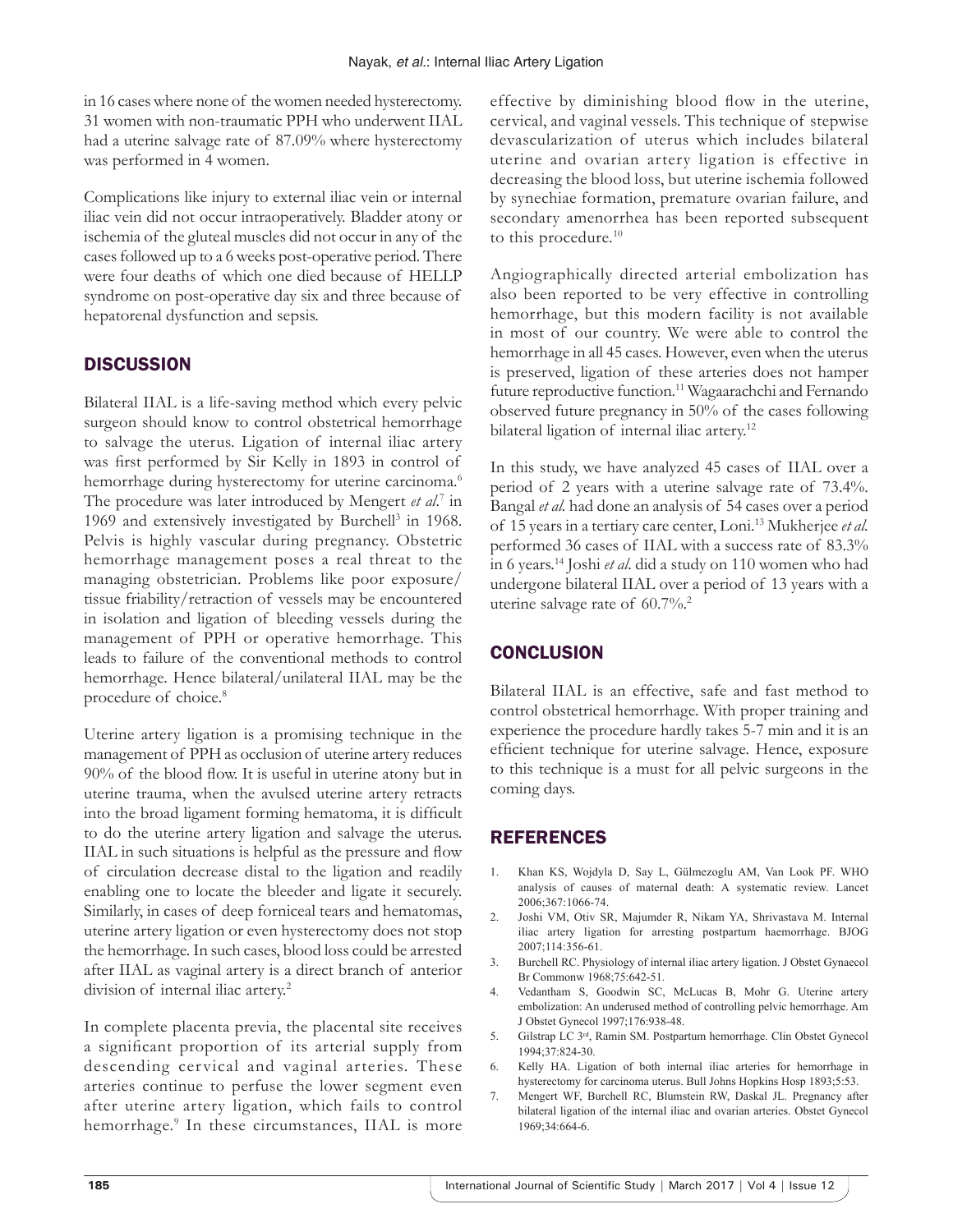in 16 cases where none of the women needed hysterectomy. 31 women with non-traumatic PPH who underwent IIAL had a uterine salvage rate of 87.09% where hysterectomy was performed in 4 women.

Complications like injury to external iliac vein or internal iliac vein did not occur intraoperatively. Bladder atony or ischemia of the gluteal muscles did not occur in any of the cases followed up to a 6 weeks post-operative period. There were four deaths of which one died because of HELLP syndrome on post-operative day six and three because of hepatorenal dysfunction and sepsis.

## **DISCUSSION**

Bilateral IIAL is a life-saving method which every pelvic surgeon should know to control obstetrical hemorrhage to salvage the uterus. Ligation of internal iliac artery was first performed by Sir Kelly in 1893 in control of hemorrhage during hysterectomy for uterine carcinoma.<sup>6</sup> The procedure was later introduced by Mengert *et al*. 7 in 1969 and extensively investigated by Burchell<sup>3</sup> in 1968. Pelvis is highly vascular during pregnancy. Obstetric hemorrhage management poses a real threat to the managing obstetrician. Problems like poor exposure/ tissue friability/retraction of vessels may be encountered in isolation and ligation of bleeding vessels during the management of PPH or operative hemorrhage. This leads to failure of the conventional methods to control hemorrhage. Hence bilateral/unilateral IIAL may be the procedure of choice.<sup>8</sup>

Uterine artery ligation is a promising technique in the management of PPH as occlusion of uterine artery reduces 90% of the blood flow. It is useful in uterine atony but in uterine trauma, when the avulsed uterine artery retracts into the broad ligament forming hematoma, it is difficult to do the uterine artery ligation and salvage the uterus. IIAL in such situations is helpful as the pressure and flow of circulation decrease distal to the ligation and readily enabling one to locate the bleeder and ligate it securely. Similarly, in cases of deep forniceal tears and hematomas, uterine artery ligation or even hysterectomy does not stop the hemorrhage. In such cases, blood loss could be arrested after IIAL as vaginal artery is a direct branch of anterior division of internal iliac artery.<sup>2</sup>

In complete placenta previa, the placental site receives a significant proportion of its arterial supply from descending cervical and vaginal arteries. These arteries continue to perfuse the lower segment even after uterine artery ligation, which fails to control hemorrhage.<sup>9</sup> In these circumstances, IIAL is more effective by diminishing blood flow in the uterine, cervical, and vaginal vessels. This technique of stepwise devascularization of uterus which includes bilateral uterine and ovarian artery ligation is effective in decreasing the blood loss, but uterine ischemia followed by synechiae formation, premature ovarian failure, and secondary amenorrhea has been reported subsequent to this procedure.<sup>10</sup>

Angiographically directed arterial embolization has also been reported to be very effective in controlling hemorrhage, but this modern facility is not available in most of our country. We were able to control the hemorrhage in all 45 cases. However, even when the uterus is preserved, ligation of these arteries does not hamper future reproductive function.<sup>11</sup> Wagaarachchi and Fernando observed future pregnancy in 50% of the cases following bilateral ligation of internal iliac artery.<sup>12</sup>

In this study, we have analyzed 45 cases of IIAL over a period of 2 years with a uterine salvage rate of 73.4%. Bangal *et al.* had done an analysis of 54 cases over a period of 15 years in a tertiary care center, Loni.13 Mukherjee *et al.* performed 36 cases of IIAL with a success rate of 83.3% in 6 years.14 Joshi *et al*. did a study on 110 women who had undergone bilateral IIAL over a period of 13 years with a uterine salvage rate of 60.7%.<sup>2</sup>

## **CONCLUSION**

Bilateral IIAL is an effective, safe and fast method to control obstetrical hemorrhage. With proper training and experience the procedure hardly takes 5-7 min and it is an efficient technique for uterine salvage. Hence, exposure to this technique is a must for all pelvic surgeons in the coming days.

## REFERENCES

- 1. Khan KS, Wojdyla D, Say L, Gülmezoglu AM, Van Look PF. WHO analysis of causes of maternal death: A systematic review. Lancet 2006;367:1066-74.
- 2. Joshi VM, Otiv SR, Majumder R, Nikam YA, Shrivastava M. Internal iliac artery ligation for arresting postpartum haemorrhage. BJOG 2007;114:356-61.
- 3. Burchell RC. Physiology of internal iliac artery ligation. J Obstet Gynaecol Br Commonw 1968;75:642-51.
- 4. Vedantham S, Goodwin SC, McLucas B, Mohr G. Uterine artery embolization: An underused method of controlling pelvic hemorrhage. Am J Obstet Gynecol 1997;176:938-48.
- 5. Gilstrap LC 3rd, Ramin SM. Postpartum hemorrhage. Clin Obstet Gynecol 1994;37:824-30.
- 6. Kelly HA. Ligation of both internal iliac arteries for hemorrhage in hysterectomy for carcinoma uterus. Bull Johns Hopkins Hosp 1893;5:53.
- 7. Mengert WF, Burchell RC, Blumstein RW, Daskal JL. Pregnancy after bilateral ligation of the internal iliac and ovarian arteries. Obstet Gynecol 1969;34:664-6.